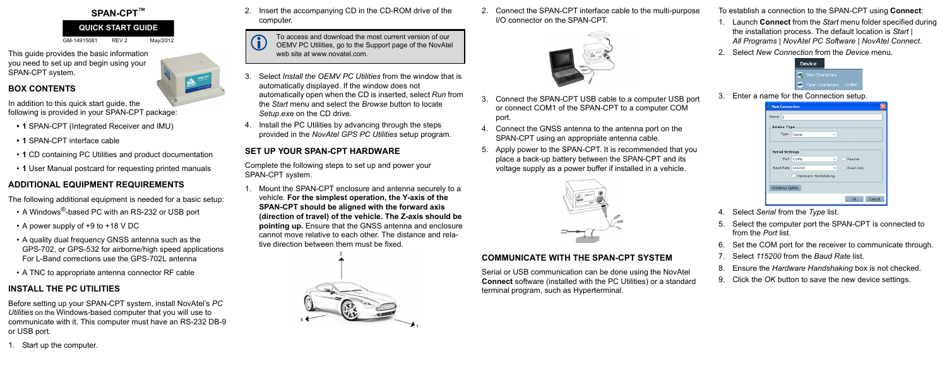## **SPAN-CPT™**

GM-14915081 REV 2 May/2012

This guide provides the basic information you need to set up and begin using your SPAN-CPT system.

## **BOX CONTENTS**

In addition to this quick start guide, the following is provided in your SPAN-CPT package:

- **1** SPAN-CPT (Integrated Receiver and IMU)
- **1** SPAN-CPT interface cable
- **1** CD containing PC Utilities and product documentation
- **1** User Manual postcard for requesting printed manuals

- A Windows<sup>®</sup>-based PC with an RS-232 or USB port
- A power supply of +9 to +18 V DC
- A quality dual frequency GNSS antenna such as the GPS-702, or GPS-532 for airborne/high speed applications For L-Band corrections use the GPS-702L antenna
- A TNC to appropriate antenna connector RF cable

# **ADDITIONAL EQUIPMENT REQUIREMENTS**

The following additional equipment is needed for a basic setup:

# **INSTALL THE PC UTILITIES**

Before setting up your SPAN-CPT system, install NovAtel's *PC Utilities* on the Windows-based computer that you will use to communicate with it. This computer must have an RS-232 DB-9 or USB port*.*

1. Start up the computer.

2. Insert the accompanying CD in the CD-ROM drive of the computer.

- 3. Select *Install the OEMV PC Utilities* from the window that is automatically displayed. If the window does not automatically open when the CD is inserted, select *Run* from the *Start* menu and select the *Browse* button to locate *Setup.exe* on the CD drive.
- 4. Install the PC Utilities by advancing through the steps provided in the *NovAtel GPS PC Utilities* setup program.

## **SET UP YOUR SPAN-CPT HARDWARE**

Complete the following steps to set up and power your SPAN-CPT system.

To access and download the most current version of our<br>OEMV PC Utilities, go to the Support page of the NovAtel web site at www.novatel.com.

1. Mount the SPAN-CPT enclosure and antenna securely to a vehicle. **For the simplest operation, the Y-axis of the SPAN-CPT should be aligned with the forward axis (direction of travel) of the vehicle. The Z-axis should be pointing up.** Ensure that the GNSS antenna and enclosure cannot move relative to each other. The distance and relative direction between them must be fixed.



- 3. Connect the SPAN-CPT USB cable to a computer USB port or connect COM1 of the SPAN-CPT to a computer COM port. 3. Enter a name for the Connection setup.
- 4. Connect the GNSS antenna to the antenna port on the SPAN-CPT using an appropriate antenna cable.
- 5. Apply power to the SPAN-CPT. It is recommended that you place a back-up battery between the SPAN-CPT and its voltage supply as a power buffer if installed in a vehicle.



2. Connect the SPAN-CPT interface cable to the multi-purpose I/O connector on the SPAN-CPT. To establish a connection to the SPAN-CPT using **Connect**:



## **COMMUNICATE WITH THE SPAN-CPT SYSTEM**

Serial or USB communication can be done using the NovAtel **Connect** software (installed with the PC Utilities) or a standard terminal program, such as Hyperterminal.

- 1. Launch **Connect** from the *Start* menu folder specified during the installation process. The default location is *Start | All Programs | NovAtel PC Software | NovAtel Connect*.
- 2. Select *New Connection* from the *Device* menu.



| <b>New Connection</b>  |                                  |  |  |
|------------------------|----------------------------------|--|--|
| Name<br>I              |                                  |  |  |
| Device Type            |                                  |  |  |
| Type                   | Serial                           |  |  |
|                        |                                  |  |  |
| <b>Serial Settings</b> |                                  |  |  |
| Port                   | COM <sub>1</sub><br>Passive<br>v |  |  |
| Baud Rate              | Read Only<br>115200              |  |  |
| Hardware Handshaking   |                                  |  |  |
| Windows Option         |                                  |  |  |
|                        | <b>Ok</b><br>Cancel              |  |  |

- 4. Select *Serial* from the *Type* list.
- 5. Select the computer port the SPAN-CPT is connected to from the *Port* list.
- 6. Set the COM port for the receiver to communicate through.
- 7. Select *115200* from the *Baud Rate* list.
- 8. Ensure the *Hardware Handshaking* box is not checked.
- 9. Click the *OK* button to save the new device settings.

### **QUICK START GUIDE**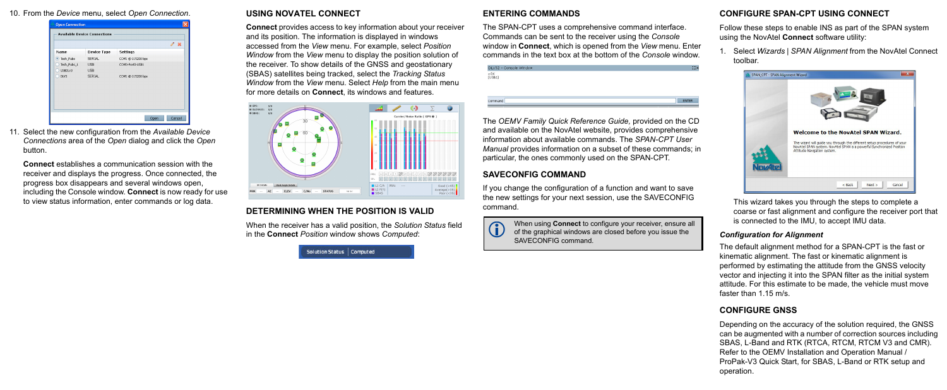#### 10. From the *Device* menu, select *Open Connection*.



11. Select the new configuration from the *Available Device Connections* area of the *Open* dialog and click the *Open*  button.

**Connect** establishes a communication session with the receiver and displays the progress. Once connected, the progress box disappears and several windows open, including the Console window. **Connect** is now ready for use to view status information, enter commands or log data.

#### **USING NOVATEL CONNECT**

**Connect** provides access to key information about your receiver and its position. The information is displayed in windows accessed from the *View* menu. For example, select *Position Window* from the *View* menu to display the position solution of the receiver. To show details of the GNSS and geostationary (SBAS) satellites being tracked, select the *Tracking Status Window* from the *View* menu. Select *Help* from the main menu for more details on **Connect**, its windows and features.



#### **DETERMINING WHEN THE POSITION IS VALID**

When the receiver has a valid position, the *Solution Status* field in the **Connect** *Position* window shows *Computed*:

Solution Status | Computed

### **ENTERING COMMANDS**

The SPAN-CPT uses a comprehensive command interface. Commands can be sent to the receiver using the *Console* window in **Connect**, which is opened from the *View* menu. Enter commands in the text box at the bottom of the *Console* window.

| DLV32 - Console Window | $\cdots$     |
|------------------------|--------------|
| $QK$<br>[USB1]         |              |
|                        |              |
|                        |              |
| Command                | <b>ENTER</b> |
|                        |              |

The *OEMV Family Quick Reference Guide,* provided on the CD and available on the NovAtel website, provides comprehensive information about available commands. The *SPAN-CPT User Manual* provides information on a subset of these commands; in particular, the ones commonly used on the SPAN-CPT.

### **SAVECONFIG COMMAND**

If you change the configuration of a function and want to save the new settings for your next session, use the SAVECONFIG command.



## **CONFIGURE SPAN-CPT USING CONNECT**

Follow these steps to enable INS as part of the SPAN system using the NovAtel **Connect** software utility:

1. Select *Wizards* | *SPAN Alignment* from the NovAtel Connect toolbar.



This wizard takes you through the steps to complete a coarse or fast alignment and configure the receiver port that is connected to the IMU, to accept IMU data.

#### *Configuration for Alignment*

The default alignment method for a SPAN-CPT is the fast or kinematic alignment. The fast or kinematic alignment is performed by estimating the attitude from the GNSS velocity vector and injecting it into the SPAN filter as the initial system attitude. For this estimate to be made, the vehicle must move faster than 1.15 m/s.

### **CONFIGURE GNSS**

Depending on the accuracy of the solution required, the GNSS can be augmented with a number of correction sources including SBAS, L-Band and RTK (RTCA, RTCM, RTCM V3 and CMR). Refer to the OEMV Installation and Operation Manual / ProPak-V3 Quick Start, for SBAS, L-Band or RTK setup and operation.

 When using **Connect** to configure your receiver, ensure all of the graphical windows are closed before you issue the SAVECONFIG command.